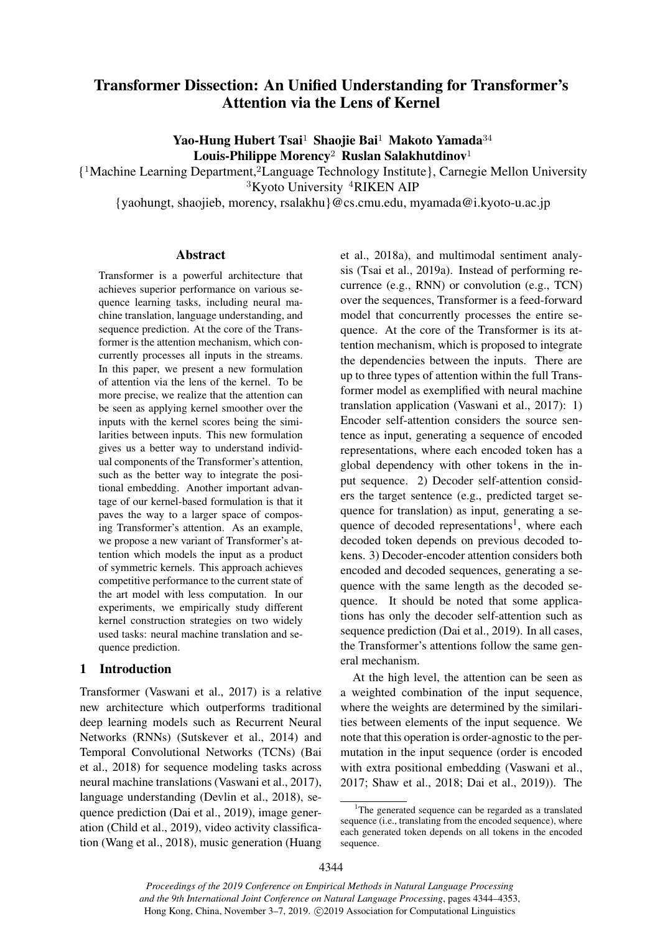# Transformer Dissection: An Unified Understanding for Transformer's Attention via the Lens of Kernel

Yao-Hung Hubert Tsai<sup>1</sup> Shaojie Bai<sup>1</sup> Makoto Yamada<sup>34</sup> Louis-Philippe Morency<sup>2</sup> Ruslan Salakhutdinov<sup>1</sup>

{ <sup>1</sup>Machine Learning Department,<sup>2</sup>Language Technology Institute}, Carnegie Mellon University <sup>3</sup>Kyoto University <sup>4</sup>RIKEN AIP

{yaohungt, shaojieb, morency, rsalakhu}@cs.cmu.edu, myamada@i.kyoto-u.ac.jp

## Abstract

Transformer is a powerful architecture that achieves superior performance on various sequence learning tasks, including neural machine translation, language understanding, and sequence prediction. At the core of the Transformer is the attention mechanism, which concurrently processes all inputs in the streams. In this paper, we present a new formulation of attention via the lens of the kernel. To be more precise, we realize that the attention can be seen as applying kernel smoother over the inputs with the kernel scores being the similarities between inputs. This new formulation gives us a better way to understand individual components of the Transformer's attention, such as the better way to integrate the positional embedding. Another important advantage of our kernel-based formulation is that it paves the way to a larger space of composing Transformer's attention. As an example, we propose a new variant of Transformer's attention which models the input as a product of symmetric kernels. This approach achieves competitive performance to the current state of the art model with less computation. In our experiments, we empirically study different kernel construction strategies on two widely used tasks: neural machine translation and sequence prediction.

### 1 Introduction

Transformer (Vaswani et al., 2017) is a relative new architecture which outperforms traditional deep learning models such as Recurrent Neural Networks (RNNs) (Sutskever et al., 2014) and Temporal Convolutional Networks (TCNs) (Bai et al., 2018) for sequence modeling tasks across neural machine translations (Vaswani et al., 2017), language understanding (Devlin et al., 2018), sequence prediction (Dai et al., 2019), image generation (Child et al., 2019), video activity classification (Wang et al., 2018), music generation (Huang et al., 2018a), and multimodal sentiment analysis (Tsai et al., 2019a). Instead of performing recurrence (e.g., RNN) or convolution (e.g., TCN) over the sequences, Transformer is a feed-forward model that concurrently processes the entire sequence. At the core of the Transformer is its attention mechanism, which is proposed to integrate the dependencies between the inputs. There are up to three types of attention within the full Transformer model as exemplified with neural machine translation application (Vaswani et al., 2017): 1) Encoder self-attention considers the source sentence as input, generating a sequence of encoded representations, where each encoded token has a global dependency with other tokens in the input sequence. 2) Decoder self-attention considers the target sentence (e.g., predicted target sequence for translation) as input, generating a sequence of decoded representations<sup>1</sup>, where each decoded token depends on previous decoded tokens. 3) Decoder-encoder attention considers both encoded and decoded sequences, generating a sequence with the same length as the decoded sequence. It should be noted that some applications has only the decoder self-attention such as sequence prediction (Dai et al., 2019). In all cases, the Transformer's attentions follow the same general mechanism.

At the high level, the attention can be seen as a weighted combination of the input sequence, where the weights are determined by the similarities between elements of the input sequence. We note that this operation is order-agnostic to the permutation in the input sequence (order is encoded with extra positional embedding (Vaswani et al., 2017; Shaw et al., 2018; Dai et al., 2019)). The

*Proceedings of the 2019 Conference on Empirical Methods in Natural Language Processing and the 9th International Joint Conference on Natural Language Processing*, pages 4344–4353, Hong Kong, China, November 3–7, 2019. ©2019 Association for Computational Linguistics

<sup>&</sup>lt;sup>1</sup>The generated sequence can be regarded as a translated sequence (i.e., translating from the encoded sequence), where each generated token depends on all tokens in the encoded sequence.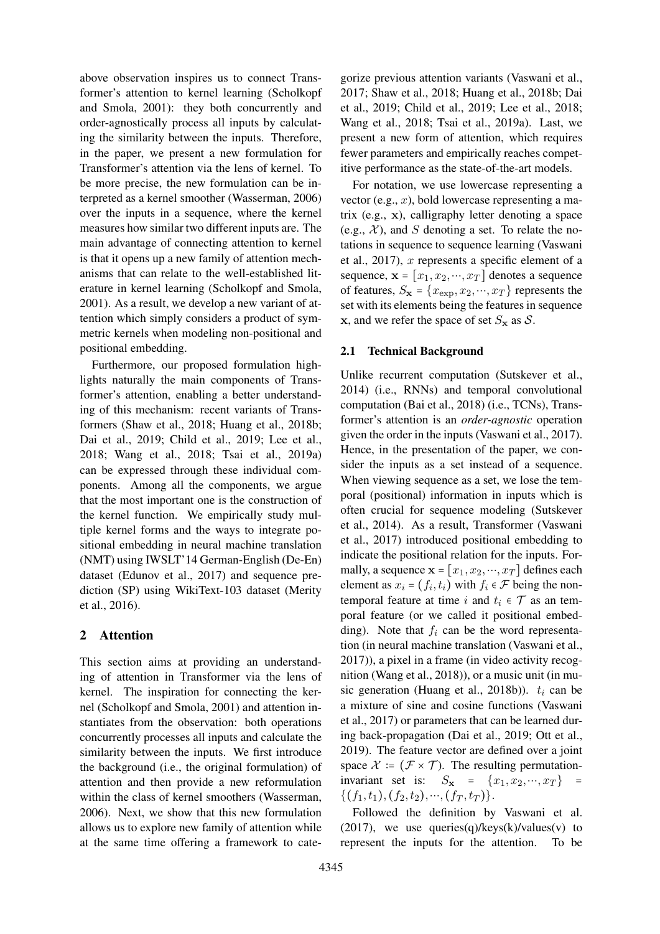above observation inspires us to connect Transformer's attention to kernel learning (Scholkopf and Smola, 2001): they both concurrently and order-agnostically process all inputs by calculating the similarity between the inputs. Therefore, in the paper, we present a new formulation for Transformer's attention via the lens of kernel. To be more precise, the new formulation can be interpreted as a kernel smoother (Wasserman, 2006) over the inputs in a sequence, where the kernel measures how similar two different inputs are. The main advantage of connecting attention to kernel is that it opens up a new family of attention mechanisms that can relate to the well-established literature in kernel learning (Scholkopf and Smola, 2001). As a result, we develop a new variant of attention which simply considers a product of symmetric kernels when modeling non-positional and positional embedding.

Furthermore, our proposed formulation highlights naturally the main components of Transformer's attention, enabling a better understanding of this mechanism: recent variants of Transformers (Shaw et al., 2018; Huang et al., 2018b; Dai et al., 2019; Child et al., 2019; Lee et al., 2018; Wang et al., 2018; Tsai et al., 2019a) can be expressed through these individual components. Among all the components, we argue that the most important one is the construction of the kernel function. We empirically study multiple kernel forms and the ways to integrate positional embedding in neural machine translation (NMT) using IWSLT'14 German-English (De-En) dataset (Edunov et al., 2017) and sequence prediction (SP) using WikiText-103 dataset (Merity et al., 2016).

# 2 Attention

This section aims at providing an understanding of attention in Transformer via the lens of kernel. The inspiration for connecting the kernel (Scholkopf and Smola, 2001) and attention instantiates from the observation: both operations concurrently processes all inputs and calculate the similarity between the inputs. We first introduce the background (i.e., the original formulation) of attention and then provide a new reformulation within the class of kernel smoothers (Wasserman, 2006). Next, we show that this new formulation allows us to explore new family of attention while at the same time offering a framework to cate-

gorize previous attention variants (Vaswani et al., 2017; Shaw et al., 2018; Huang et al., 2018b; Dai et al., 2019; Child et al., 2019; Lee et al., 2018; Wang et al., 2018; Tsai et al., 2019a). Last, we present a new form of attention, which requires fewer parameters and empirically reaches competitive performance as the state-of-the-art models.

For notation, we use lowercase representing a vector (e.g.,  $x$ ), bold lowercase representing a matrix (e.g., x), calligraphy letter denoting a space (e.g.,  $\mathcal{X}$ ), and S denoting a set. To relate the notations in sequence to sequence learning (Vaswani et al., 2017),  $x$  represents a specific element of a sequence,  $\mathbf{x} = [x_1, x_2, \dots, x_T]$  denotes a sequence of features,  $S_{\mathbf{x}} = \{x_{\exp}, x_2, \cdots, x_T\}$  represents the set with its elements being the features in sequence x, and we refer the space of set  $S_x$  as  $\mathcal{S}$ .

## 2.1 Technical Background

Unlike recurrent computation (Sutskever et al., 2014) (i.e., RNNs) and temporal convolutional computation (Bai et al., 2018) (i.e., TCNs), Transformer's attention is an *order-agnostic* operation given the order in the inputs (Vaswani et al., 2017). Hence, in the presentation of the paper, we consider the inputs as a set instead of a sequence. When viewing sequence as a set, we lose the temporal (positional) information in inputs which is often crucial for sequence modeling (Sutskever et al., 2014). As a result, Transformer (Vaswani et al., 2017) introduced positional embedding to indicate the positional relation for the inputs. Formally, a sequence  $\mathbf{x} = [x_1, x_2, \dots, x_T]$  defines each element as  $x_i = (f_i, t_i)$  with  $f_i \in \mathcal{F}$  being the nontemporal feature at time i and  $t_i \in \mathcal{T}$  as an temporal feature (or we called it positional embedding). Note that  $f_i$  can be the word representation (in neural machine translation (Vaswani et al., 2017)), a pixel in a frame (in video activity recognition (Wang et al., 2018)), or a music unit (in music generation (Huang et al., 2018b)).  $t_i$  can be a mixture of sine and cosine functions (Vaswani et al., 2017) or parameters that can be learned during back-propagation (Dai et al., 2019; Ott et al., 2019). The feature vector are defined over a joint space  $\mathcal{X} = (\mathcal{F} \times \mathcal{T})$ . The resulting permutationinvariant set is:  $S_{\mathbf{x}} = \{x_1, x_2, \dots, x_T\}$  $\{(f_1, t_1), (f_2, t_2), \cdots, (f_T, t_T)\}.$ 

Followed the definition by Vaswani et al.  $(2017)$ , we use queries $(q)/keys(k)/values(v)$  to represent the inputs for the attention. To be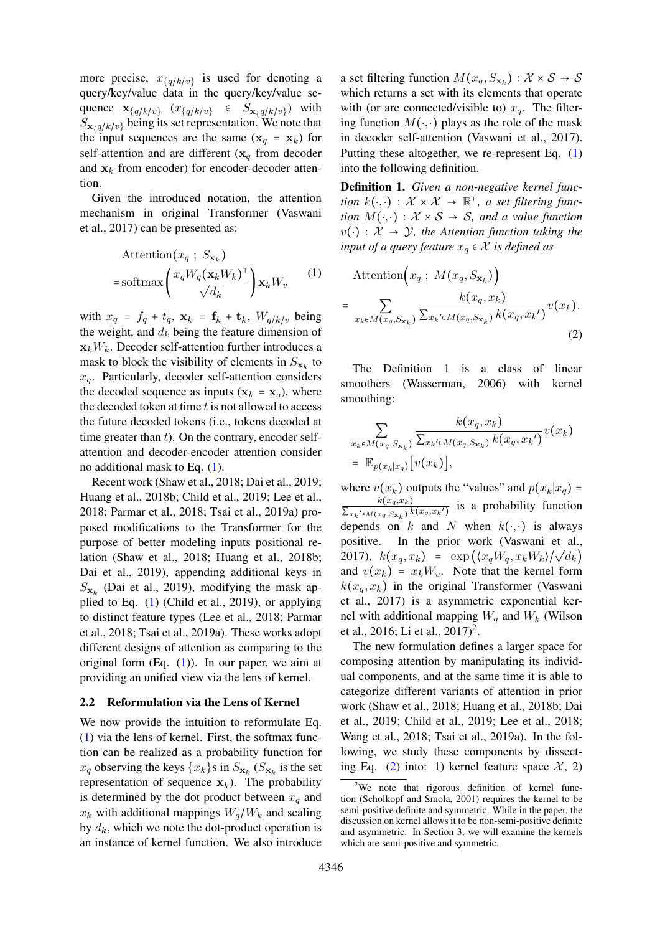more precise,  $x_{q/k/v}$  is used for denoting a query/key/value data in the query/key/value sequence  $\mathbf{x}_{\{q/k/v\}}$   $(x_{\{q/k/v\}} \in S_{\mathbf{x}_{\{q/k/v\}}})$  with  $S_{\mathbf{x}_q/k|v}$  being its set representation. We note that the input sequences are the same  $(\mathbf{x}_q = \mathbf{x}_k)$  for self-attention and are different  $(x_q)$  from decoder and  $x_k$  from encoder) for encoder-decoder attention.

Given the introduced notation, the attention mechanism in original Transformer (Vaswani et al., 2017) can be presented as:

$$
\begin{aligned} \text{Attention}(x_q \; ; \; S_{\mathbf{x}_k}) \\ = \text{softmax}\left(\frac{x_q W_q (\mathbf{x}_k W_k)^{\top}}{\sqrt{d_k}}\right) \mathbf{x}_k W_v \end{aligned} \tag{1}
$$

with  $x_q = f_q + t_q$ ,  $\mathbf{x}_k = \mathbf{f}_k + \mathbf{t}_k$ ,  $W_{q/k/v}$  being the weight, and  $d_k$  being the feature dimension of  $\mathbf{x}_k W_k$ . Decoder self-attention further introduces a mask to block the visibility of elements in  $S_{\mathbf{x}_k}$  to  $x_q$ . Particularly, decoder self-attention considers the decoded sequence as inputs  $(\mathbf{x}_k = \mathbf{x}_q)$ , where the decoded token at time  $t$  is not allowed to access the future decoded tokens (i.e., tokens decoded at time greater than  $t$ ). On the contrary, encoder selfattention and decoder-encoder attention consider no additional mask to Eq. (1).

Recent work (Shaw et al., 2018; Dai et al., 2019; Huang et al., 2018b; Child et al., 2019; Lee et al., 2018; Parmar et al., 2018; Tsai et al., 2019a) proposed modifications to the Transformer for the purpose of better modeling inputs positional relation (Shaw et al., 2018; Huang et al., 2018b; Dai et al., 2019), appending additional keys in  $S_{\mathbf{x}_k}$  (Dai et al., 2019), modifying the mask applied to Eq. (1) (Child et al., 2019), or applying to distinct feature types (Lee et al., 2018; Parmar et al., 2018; Tsai et al., 2019a). These works adopt different designs of attention as comparing to the original form  $(Eq, (1))$ . In our paper, we aim at providing an unified view via the lens of kernel.

#### 2.2 Reformulation via the Lens of Kernel

We now provide the intuition to reformulate Eq. (1) via the lens of kernel. First, the softmax function can be realized as a probability function for  $x_q$  observing the keys  $\{x_k\}$ s in  $S_{\mathbf{x}_k}$  ( $S_{\mathbf{x}_k}$  is the set representation of sequence  $x_k$ ). The probability is determined by the dot product between  $x_q$  and  $x_k$  with additional mappings  $W_q/W_k$  and scaling by  $d_k$ , which we note the dot-product operation is an instance of kernel function. We also introduce

a set filtering function  $M(x_q, S_{\mathbf{x}_k}) : \mathcal{X} \times \mathcal{S} \to \mathcal{S}$ which returns a set with its elements that operate with (or are connected/visible to)  $x_q$ . The filtering function  $M(\cdot, \cdot)$  plays as the role of the mask in decoder self-attention (Vaswani et al., 2017). Putting these altogether, we re-represent Eq. (1) into the following definition.

Definition 1. *Given a non-negative kernel function*  $k(\cdot, \cdot) : \mathcal{X} \times \mathcal{X} \to \mathbb{R}^+$ , *a set filtering function*  $M(\cdot, \cdot) : \mathcal{X} \times \mathcal{S} \rightarrow \mathcal{S}$ *, and a value function*  $v(\cdot): \mathcal{X} \to \mathcal{Y}$ , the Attention function taking the *input of a query feature*  $x_q \in \mathcal{X}$  *is defined as* 

$$
\text{Attention}\left(x_q \; ; \; M(x_q, S_{\mathbf{x}_k})\right) \\
= \sum_{x_k \in M(x_q, S_{\mathbf{x}_k})} \frac{k(x_q, x_k)}{\sum_{x_k' \in M(x_q, S_{\mathbf{x}_k})} k(x_q, x_k')} v(x_k).
$$
\n<sup>(2)</sup>

The Definition 1 is a class of linear smoothers (Wasserman, 2006) with kernel smoothing:

$$
\sum_{x_k \in M(x_q, S_{\mathbf{x}_k})} \frac{k(x_q, x_k)}{\sum_{x_k' \in M(x_q, S_{\mathbf{x}_k})} k(x_q, x_k')} v(x_k)
$$
  
=  $\mathbb{E}_{p(x_k|x_q)}[v(x_k)],$ 

where  $v(x_k)$  outputs the "values" and  $p(x_k|x_q)$  =  $k(x_q,x_k)$  $\frac{k(x_q, x_k)}{\sum_{x_k' \in M(x_q, S_{\mathbf{x}_k})} k(x_q, x_k')}$  is a probability function depends on k and N when  $k(\cdot, \cdot)$  is always positive. In the prior work (Vaswani et al., 2017),  $k(x_q, x_k) = \exp\left(\frac{x_qW_q, x_kW_k}{\sqrt{d_k}}\right)$ and  $v(x_k) = x_k W_v$ . Note that the kernel form  $k(x_a, x_k)$  in the original Transformer (Vaswani et al., 2017) is a asymmetric exponential kernel with additional mapping  $W_q$  and  $W_k$  (Wilson et al., 2016; Li et al., 2017)<sup>2</sup>.

The new formulation defines a larger space for composing attention by manipulating its individual components, and at the same time it is able to categorize different variants of attention in prior work (Shaw et al., 2018; Huang et al., 2018b; Dai et al., 2019; Child et al., 2019; Lee et al., 2018; Wang et al., 2018; Tsai et al., 2019a). In the following, we study these components by dissecting Eq. (2) into: 1) kernel feature space  $\mathcal{X}$ , 2)

<sup>&</sup>lt;sup>2</sup>We note that rigorous definition of kernel function (Scholkopf and Smola, 2001) requires the kernel to be semi-positive definite and symmetric. While in the paper, the discussion on kernel allows it to be non-semi-positive definite and asymmetric. In Section 3, we will examine the kernels which are semi-positive and symmetric.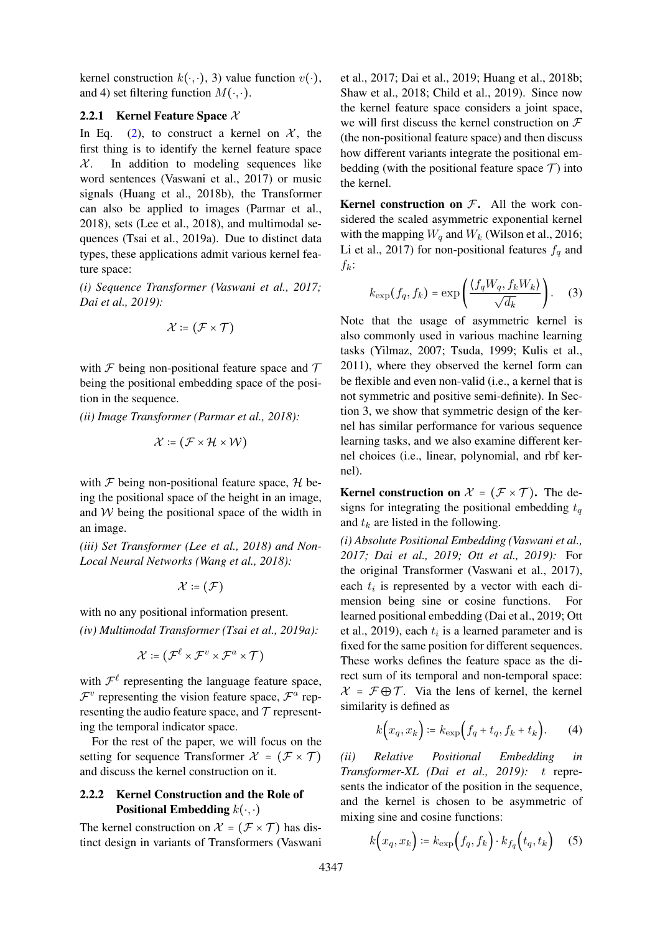kernel construction  $k(\cdot, \cdot)$ , 3) value function  $v(\cdot)$ , and 4) set filtering function  $M(\cdot, \cdot)$ .

## 2.2.1 Kernel Feature Space  $X$

In Eq. (2), to construct a kernel on  $\mathcal{X}$ , the first thing is to identify the kernel feature space  $X$ . In addition to modeling sequences like word sentences (Vaswani et al., 2017) or music signals (Huang et al., 2018b), the Transformer can also be applied to images (Parmar et al., 2018), sets (Lee et al., 2018), and multimodal sequences (Tsai et al., 2019a). Due to distinct data types, these applications admit various kernel feature space:

*(i) Sequence Transformer (Vaswani et al., 2017; Dai et al., 2019):*

$$
\mathcal{X}\coloneqq (\mathcal{F}\times\mathcal{T})
$$

with  $\mathcal F$  being non-positional feature space and  $\mathcal T$ being the positional embedding space of the position in the sequence.

*(ii) Image Transformer (Parmar et al., 2018):*

$$
\mathcal{X}\coloneqq (\mathcal{F}\times\mathcal{H}\times\mathcal{W})
$$

with  $\mathcal F$  being non-positional feature space,  $\mathcal H$  being the positional space of the height in an image, and  $W$  being the positional space of the width in an image.

*(iii) Set Transformer (Lee et al., 2018) and Non-Local Neural Networks (Wang et al., 2018):*

$$
\mathcal{X}\coloneqq(\mathcal{F})
$$

with no any positional information present. *(iv) Multimodal Transformer (Tsai et al., 2019a):*

$$
\mathcal{X} \coloneqq \left( \mathcal{F}^{\ell} \times \mathcal{F}^{v} \times \mathcal{F}^{a} \times \mathcal{T} \right)
$$

with  $\mathcal{F}^{\ell}$  representing the language feature space,  $\mathcal{F}^v$  representing the vision feature space,  $\mathcal{F}^a$  representing the audio feature space, and  $\tau$  representing the temporal indicator space.

For the rest of the paper, we will focus on the setting for sequence Transformer  $\mathcal{X} = (\mathcal{F} \times \mathcal{T})$ and discuss the kernel construction on it.

## 2.2.2 Kernel Construction and the Role of **Positional Embedding**  $k(\cdot, \cdot)$

The kernel construction on  $\mathcal{X} = (\mathcal{F} \times \mathcal{T})$  has distinct design in variants of Transformers (Vaswani et al., 2017; Dai et al., 2019; Huang et al., 2018b; Shaw et al., 2018; Child et al., 2019). Since now the kernel feature space considers a joint space, we will first discuss the kernel construction on  $\mathcal F$ (the non-positional feature space) and then discuss how different variants integrate the positional embedding (with the positional feature space  $\mathcal{T}$ ) into the kernel.

**Kernel construction on**  $\mathcal{F}$ **.** All the work considered the scaled asymmetric exponential kernel with the mapping  $W_q$  and  $W_k$  (Wilson et al., 2016; Li et al., 2017) for non-positional features  $f_q$  and  $f_k$ :

$$
k_{\exp}(f_q, f_k) = \exp\left(\frac{\langle f_q W_q, f_k W_k \rangle}{\sqrt{d_k}}\right). \tag{3}
$$

Note that the usage of asymmetric kernel is also commonly used in various machine learning tasks (Yilmaz, 2007; Tsuda, 1999; Kulis et al., 2011), where they observed the kernel form can be flexible and even non-valid (i.e., a kernel that is not symmetric and positive semi-definite). In Section 3, we show that symmetric design of the kernel has similar performance for various sequence learning tasks, and we also examine different kernel choices (i.e., linear, polynomial, and rbf kernel).

**Kernel construction on**  $\mathcal{X} = (\mathcal{F} \times \mathcal{T})$ . The designs for integrating the positional embedding  $t_q$ and  $t_k$  are listed in the following.

*(i) Absolute Positional Embedding (Vaswani et al., 2017; Dai et al., 2019; Ott et al., 2019):* For the original Transformer (Vaswani et al., 2017), each  $t_i$  is represented by a vector with each dimension being sine or cosine functions. For learned positional embedding (Dai et al., 2019; Ott et al., 2019), each  $t_i$  is a learned parameter and is fixed for the same position for different sequences. These works defines the feature space as the direct sum of its temporal and non-temporal space:  $\mathcal{X} = \mathcal{F} \oplus \mathcal{T}$ . Via the lens of kernel, the kernel similarity is defined as

$$
k\Big(x_q, x_k\Big) \coloneqq k_{\exp}\Big(f_q + t_q, f_k + t_k\Big). \tag{4}
$$

*(ii) Relative Positional Embedding in Transformer-XL (Dai et al., 2019):* t represents the indicator of the position in the sequence, and the kernel is chosen to be asymmetric of mixing sine and cosine functions:

$$
k\Big(x_q, x_k\Big) \coloneqq k_{\exp}\Big(f_q, f_k\Big) \cdot k_{f_q}\Big(t_q, t_k\Big) \quad (5)
$$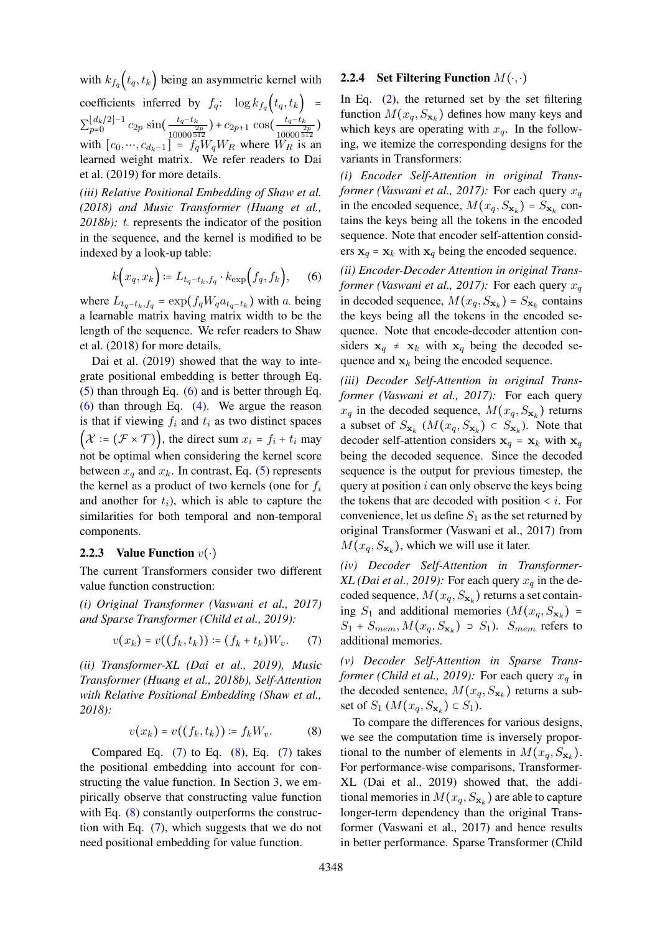with  $k_{f_q}(t_q, t_k)$  being an asymmetric kernel with coefficients inferred by  $f_q$ :  $\log k_{f_q}(t_q, t_k)$  =  $\sum_{p=0}^{\lfloor d_k/2 \rfloor -1}$  $\frac{\lfloor d_k/2 \rfloor - 1}{p=0} c_{2p} \sin \left( \frac{t_q-t_k}{10000 \pi^2} \right)$  $\frac{t_q-t_k}{\frac{2p}{10000}\frac{512}{512}}$  +  $c_{2p+1}$  cos( $\frac{t_q-t_k}{\frac{2}{10000}\frac{5}{5}}$  $\frac{\frac{u_q - u_k}{2p}}{10000\overline{512}}$ with  $[c_0, ..., c_{d_k-1}] = f_q W_q W_R$  where  $W_R$  is an learned weight matrix. We refer readers to Dai et al. (2019) for more details.

*(iii) Relative Positional Embedding of Shaw et al. (2018) and Music Transformer (Huang et al., 2018b): t.* represents the indicator of the position in the sequence, and the kernel is modified to be indexed by a look-up table:

$$
k\Big(x_q, x_k\Big) \coloneqq L_{t_q-t_k, f_q} \cdot k_{\exp}\Big(f_q, f_k\Big), \qquad (6)
$$

where  $L_{t_q-t_k, f_q} = \exp(f_q W_q a_{t_q-t_k})$  with a. being a learnable matrix having matrix width to be the length of the sequence. We refer readers to Shaw et al. (2018) for more details.

Dai et al. (2019) showed that the way to integrate positional embedding is better through Eq. (5) than through Eq. (6) and is better through Eq. (6) than through Eq. (4). We argue the reason is that if viewing  $f_i$  and  $t_i$  as two distinct spaces  $(\mathcal{X} \coloneqq (\mathcal{F} \times \mathcal{T})\right)$ , the direct sum  $x_i = f_i + t_i$  may not be optimal when considering the kernel score between  $x_q$  and  $x_k$ . In contrast, Eq. (5) represents the kernel as a product of two kernels (one for  $f_i$ and another for  $t_i$ ), which is able to capture the similarities for both temporal and non-temporal components.

#### 2.2.3 Value Function  $v(\cdot)$

The current Transformers consider two different value function construction:

*(i) Original Transformer (Vaswani et al., 2017) and Sparse Transformer (Child et al., 2019):*

$$
v(x_k) = v((f_k, t_k)) \coloneqq (f_k + t_k)W_v. \tag{7}
$$

*(ii) Transformer-XL (Dai et al., 2019), Music Transformer (Huang et al., 2018b), Self-Attention with Relative Positional Embedding (Shaw et al., 2018):*

$$
v(x_k) = v((f_k, t_k)) \coloneqq f_k W_v. \tag{8}
$$

Compared Eq.  $(7)$  to Eq.  $(8)$ , Eq.  $(7)$  takes the positional embedding into account for constructing the value function. In Section 3, we empirically observe that constructing value function with Eq.  $(8)$  constantly outperforms the construction with Eq. (7), which suggests that we do not need positional embedding for value function.

### 2.2.4 Set Filtering Function  $M(\cdot, \cdot)$

In Eq. (2), the returned set by the set filtering function  $M(x_q, S_{\mathbf{x}_k})$  defines how many keys and which keys are operating with  $x_a$ . In the following, we itemize the corresponding designs for the variants in Transformers:

*(i) Encoder Self-Attention in original Transformer (Vaswani et al., 2017):* For each query  $x_a$ in the encoded sequence,  $M(x_q, S_{\mathbf{x}_k}) = S_{\mathbf{x}_k}$  contains the keys being all the tokens in the encoded sequence. Note that encoder self-attention considers  $x_q = x_k$  with  $x_q$  being the encoded sequence.

*(ii) Encoder-Decoder Attention in original Transformer (Vaswani et al., 2017):* For each query  $x_a$ in decoded sequence,  $M(x_q, S_{\mathbf{x}_k}) = S_{\mathbf{x}_k}$  contains the keys being all the tokens in the encoded sequence. Note that encode-decoder attention considers  $x_q \neq x_k$  with  $x_q$  being the decoded sequence and  $x_k$  being the encoded sequence.

*(iii) Decoder Self-Attention in original Transformer (Vaswani et al., 2017):* For each query  $x_q$  in the decoded sequence,  $M(x_q, S_{\mathbf{x}_k})$  returns a subset of  $S_{\mathbf{x}_k}$   $(M(x_q, S_{\mathbf{x}_k}) \subset S_{\mathbf{x}_k})$ . Note that decoder self-attention considers  $x_q = x_k$  with  $x_q$ being the decoded sequence. Since the decoded sequence is the output for previous timestep, the query at position  $i$  can only observe the keys being the tokens that are decoded with position  $\lt i$ . For convenience, let us define  $S_1$  as the set returned by original Transformer (Vaswani et al., 2017) from  $M(x_q, S_{\mathbf{x}_k})$ , which we will use it later.

*(iv) Decoder Self-Attention in Transformer-XL (Dai et al., 2019):* For each query  $x_q$  in the decoded sequence,  $M(x_q, S_{\mathbf{x}_k})$  returns a set containing  $S_1$  and additional memories  $(M(x_q, S_{\mathbf{x}_k}))$  =  $S_1 + S_{mem}, M(x_q, S_{\mathbf{x}_k}) \supset S_1$ ).  $S_{mem}$  refers to additional memories.

*(v) Decoder Self-Attention in Sparse Transformer (Child et al., 2019):* For each query  $x_q$  in the decoded sentence,  $M(x_q, S_{\mathbf{x}_k})$  returns a subset of  $S_1$  ( $M(x_q, S_{\mathbf{x}_k}) \subset S_1$ ).

To compare the differences for various designs, we see the computation time is inversely proportional to the number of elements in  $M(x_q, S_{\mathbf{x}_k})$ . For performance-wise comparisons, Transformer-XL (Dai et al., 2019) showed that, the additional memories in  $M(x_q, S_{\mathbf{x}_k})$  are able to capture longer-term dependency than the original Transformer (Vaswani et al., 2017) and hence results in better performance. Sparse Transformer (Child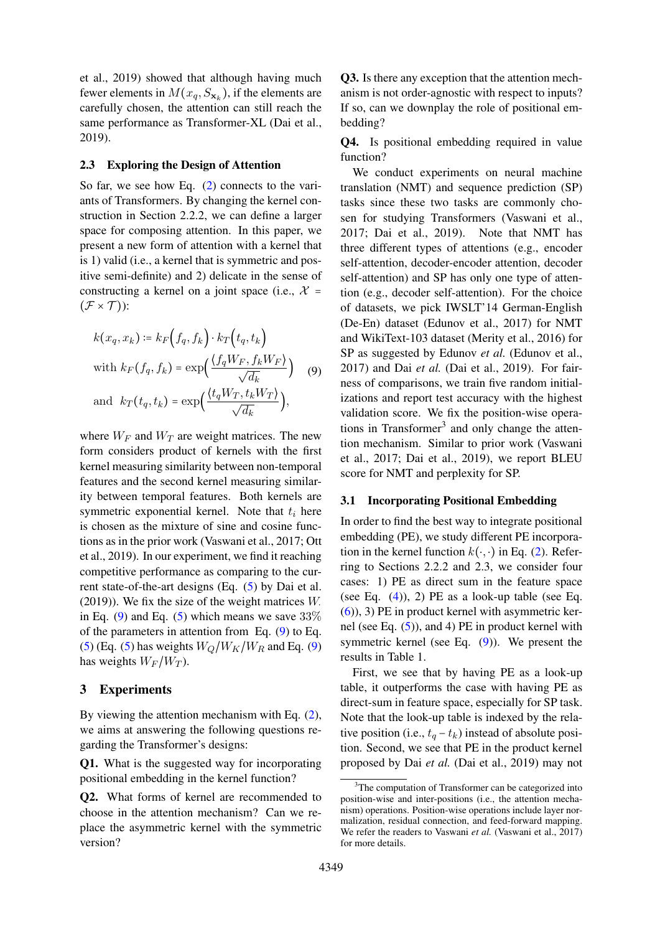et al., 2019) showed that although having much fewer elements in  $M(x_q, S_{\mathbf{x}_k})$ , if the elements are carefully chosen, the attention can still reach the same performance as Transformer-XL (Dai et al., 2019).

### 2.3 Exploring the Design of Attention

So far, we see how Eq. (2) connects to the variants of Transformers. By changing the kernel construction in Section 2.2.2, we can define a larger space for composing attention. In this paper, we present a new form of attention with a kernel that is 1) valid (i.e., a kernel that is symmetric and positive semi-definite) and 2) delicate in the sense of constructing a kernel on a joint space (i.e.,  $\chi$  =  $(\mathcal{F} \times \mathcal{T})$ :

$$
k(x_q, x_k) \coloneqq k_F(f_q, f_k) \cdot k_T(t_q, t_k)
$$
  
with 
$$
k_F(f_q, f_k) = \exp\left(\frac{\langle f_q W_F, f_k W_F \rangle}{\sqrt{d_k}}\right)
$$
 (9)  
and 
$$
k_T(t_q, t_k) = \exp\left(\frac{\langle t_q W_T, t_k W_T \rangle}{\sqrt{d_k}}\right),
$$

where  $W_F$  and  $W_T$  are weight matrices. The new form considers product of kernels with the first kernel measuring similarity between non-temporal features and the second kernel measuring similarity between temporal features. Both kernels are symmetric exponential kernel. Note that  $t_i$  here is chosen as the mixture of sine and cosine functions as in the prior work (Vaswani et al., 2017; Ott et al., 2019). In our experiment, we find it reaching competitive performance as comparing to the current state-of-the-art designs (Eq. (5) by Dai et al. (2019)). We fix the size of the weight matrices W<sup>⋅</sup> in Eq. (9) and Eq. (5) which means we save  $33\%$ of the parameters in attention from Eq. (9) to Eq. (5) (Eq. (5) has weights  $W_Q/W_K/W_R$  and Eq. (9) has weights  $W_F/W_T$ ).

### 3 Experiments

By viewing the attention mechanism with Eq. (2), we aims at answering the following questions regarding the Transformer's designs:

Q1. What is the suggested way for incorporating positional embedding in the kernel function?

Q2. What forms of kernel are recommended to choose in the attention mechanism? Can we replace the asymmetric kernel with the symmetric version?

Q3. Is there any exception that the attention mechanism is not order-agnostic with respect to inputs? If so, can we downplay the role of positional embedding?

Q4. Is positional embedding required in value function?

We conduct experiments on neural machine translation (NMT) and sequence prediction (SP) tasks since these two tasks are commonly chosen for studying Transformers (Vaswani et al., 2017; Dai et al., 2019). Note that NMT has three different types of attentions (e.g., encoder self-attention, decoder-encoder attention, decoder self-attention) and SP has only one type of attention (e.g., decoder self-attention). For the choice of datasets, we pick IWSLT'14 German-English (De-En) dataset (Edunov et al., 2017) for NMT and WikiText-103 dataset (Merity et al., 2016) for SP as suggested by Edunov *et al.* (Edunov et al., 2017) and Dai *et al.* (Dai et al., 2019). For fairness of comparisons, we train five random initializations and report test accuracy with the highest validation score. We fix the position-wise operations in Transformer<sup>3</sup> and only change the attention mechanism. Similar to prior work (Vaswani et al., 2017; Dai et al., 2019), we report BLEU score for NMT and perplexity for SP.

#### 3.1 Incorporating Positional Embedding

In order to find the best way to integrate positional embedding (PE), we study different PE incorporation in the kernel function  $k(\cdot, \cdot)$  in Eq. (2). Referring to Sections 2.2.2 and 2.3, we consider four cases: 1) PE as direct sum in the feature space (see Eq.  $(4)$ ), 2) PE as a look-up table (see Eq. (6)), 3) PE in product kernel with asymmetric kernel (see Eq. (5)), and 4) PE in product kernel with symmetric kernel (see Eq. (9)). We present the results in Table 1.

First, we see that by having PE as a look-up table, it outperforms the case with having PE as direct-sum in feature space, especially for SP task. Note that the look-up table is indexed by the relative position (i.e.,  $t_q - t_k$ ) instead of absolute position. Second, we see that PE in the product kernel proposed by Dai *et al.* (Dai et al., 2019) may not

 $3$ The computation of Transformer can be categorized into position-wise and inter-positions (i.e., the attention mechanism) operations. Position-wise operations include layer normalization, residual connection, and feed-forward mapping. We refer the readers to Vaswani *et al.* (Vaswani et al., 2017) for more details.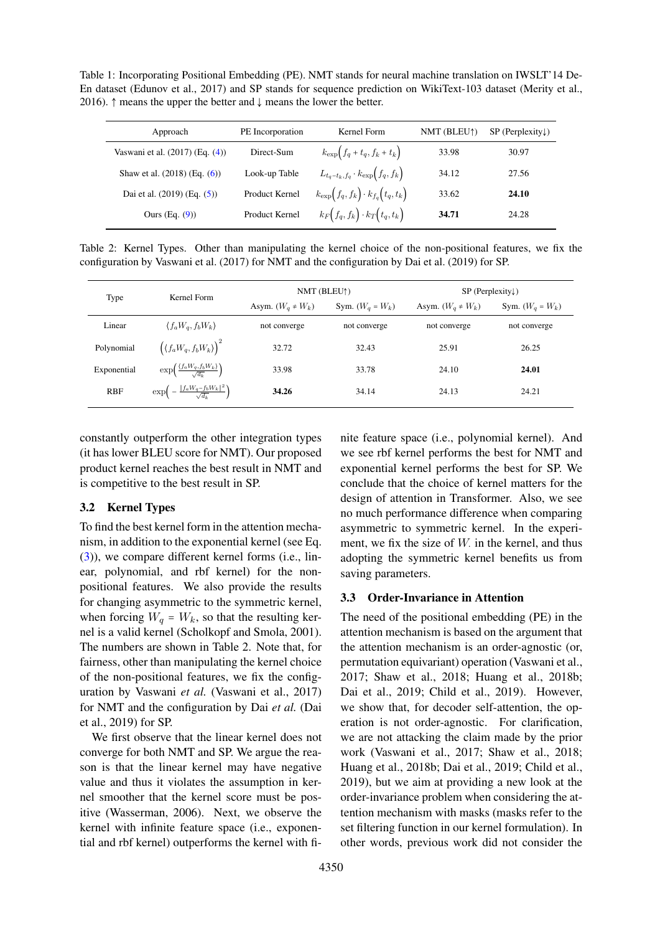Table 1: Incorporating Positional Embedding (PE). NMT stands for neural machine translation on IWSLT'14 De-En dataset (Edunov et al., 2017) and SP stands for sequence prediction on WikiText-103 dataset (Merity et al., 2016).  $\uparrow$  means the upper the better and  $\downarrow$  means the lower the better.

| Approach                          | PE Incorporation | Kernel Form                                      | NMT (BLEU <sup>†</sup> ) | $SP$ (Perplexity $\downarrow$ ) |
|-----------------------------------|------------------|--------------------------------------------------|--------------------------|---------------------------------|
| Vaswani et al. (2017) (Eq. (4))   | Direct-Sum       | $k_{\exp}\left(f_q+t_q, f_k+t_k\right)$          | 33.98                    | 30.97                           |
| Shaw et al. $(2018)$ (Eq. $(6)$ ) | Look-up Table    | $L_{t_q-t_k,f_q}\cdot k_{\exp}\big(f_q,f_k\big)$ | 34.12                    | 27.56                           |
| Dai et al. $(2019)$ (Eq. $(5)$ )  | Product Kernel   | $k_{\exp}(f_q, f_k) \cdot k_{f_q}(t_q, t_k)$     | 33.62                    | 24.10                           |
| Ours $(Eq. (9))$                  | Product Kernel   | $k_F(f_q, f_k) \cdot k_T(t_q, t_k)$              | 34.71                    | 24.28                           |

Table 2: Kernel Types. Other than manipulating the kernel choice of the non-positional features, we fix the configuration by Vaswani et al. (2017) for NMT and the configuration by Dai et al. (2019) for SP.

| Type        | Kernel Form                                                            | NMT (BLEU1)            |                    | $SP$ (Perplexity)      |                    |
|-------------|------------------------------------------------------------------------|------------------------|--------------------|------------------------|--------------------|
|             |                                                                        | Asym. $(W_q \neq W_k)$ | Sym. $(W_q = W_k)$ | Asym. $(W_q \neq W_k)$ | Sym. $(W_q = W_k)$ |
| Linear      | $\langle f_a W_a, f_b W_k \rangle$                                     | not converge           | not converge       | not converge           | not converge       |
| Polynomial  | $\left(\langle f_a W_q, f_b W_k \rangle \right)^2$                     | 32.72                  | 32.43              | 25.91                  | 26.25              |
| Exponential | $\exp\left(\frac{\langle f_a W_q, f_b W_k \rangle}{\sqrt{d_k}}\right)$ | 33.98                  | 33.78              | 24.10                  | 24.01              |
| <b>RBF</b>  | $\exp\left(-\frac{\ f_a W_q - f_b W_k\ ^2}{\sqrt{d_k}}\right)$         | 34.26                  | 34.14              | 24.13                  | 24.21              |
|             |                                                                        |                        |                    |                        |                    |

constantly outperform the other integration types (it has lower BLEU score for NMT). Our proposed product kernel reaches the best result in NMT and is competitive to the best result in SP.

## 3.2 Kernel Types

To find the best kernel form in the attention mechanism, in addition to the exponential kernel (see Eq. (3)), we compare different kernel forms (i.e., linear, polynomial, and rbf kernel) for the nonpositional features. We also provide the results for changing asymmetric to the symmetric kernel, when forcing  $W_q = W_k$ , so that the resulting kernel is a valid kernel (Scholkopf and Smola, 2001). The numbers are shown in Table 2. Note that, for fairness, other than manipulating the kernel choice of the non-positional features, we fix the configuration by Vaswani *et al.* (Vaswani et al., 2017) for NMT and the configuration by Dai *et al.* (Dai et al., 2019) for SP.

We first observe that the linear kernel does not converge for both NMT and SP. We argue the reason is that the linear kernel may have negative value and thus it violates the assumption in kernel smoother that the kernel score must be positive (Wasserman, 2006). Next, we observe the kernel with infinite feature space (i.e., exponential and rbf kernel) outperforms the kernel with fi-

nite feature space (i.e., polynomial kernel). And we see rbf kernel performs the best for NMT and exponential kernel performs the best for SP. We conclude that the choice of kernel matters for the design of attention in Transformer. Also, we see no much performance difference when comparing asymmetric to symmetric kernel. In the experiment, we fix the size of  $W$ . in the kernel, and thus adopting the symmetric kernel benefits us from saving parameters.

#### 3.3 Order-Invariance in Attention

The need of the positional embedding (PE) in the attention mechanism is based on the argument that the attention mechanism is an order-agnostic (or, permutation equivariant) operation (Vaswani et al., 2017; Shaw et al., 2018; Huang et al., 2018b; Dai et al., 2019; Child et al., 2019). However, we show that, for decoder self-attention, the operation is not order-agnostic. For clarification, we are not attacking the claim made by the prior work (Vaswani et al., 2017; Shaw et al., 2018; Huang et al., 2018b; Dai et al., 2019; Child et al., 2019), but we aim at providing a new look at the order-invariance problem when considering the attention mechanism with masks (masks refer to the set filtering function in our kernel formulation). In other words, previous work did not consider the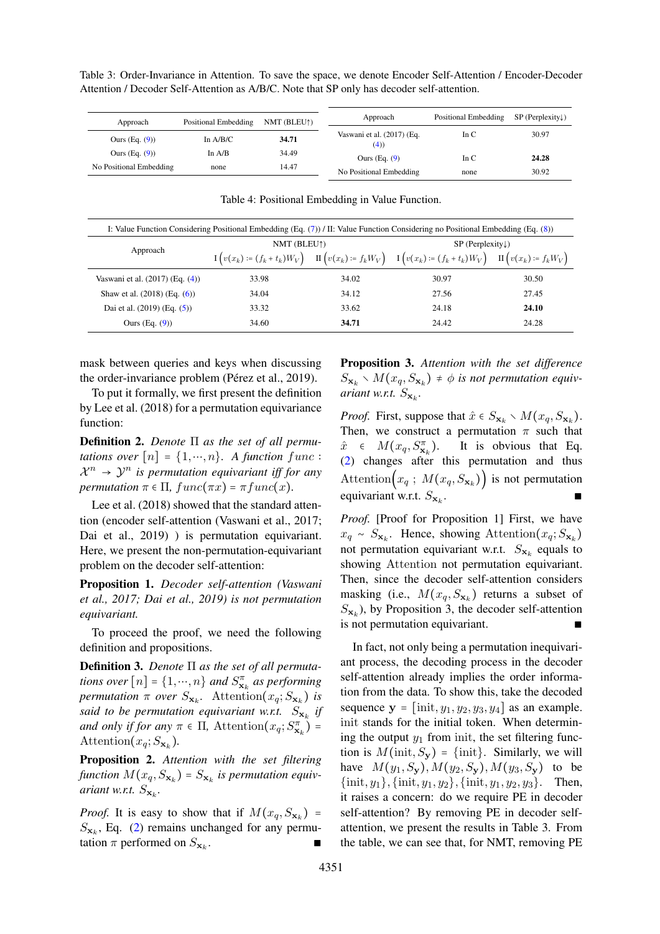Table 3: Order-Invariance in Attention. To save the space, we denote Encoder Self-Attention / Encoder-Decoder Attention / Decoder Self-Attention as A/B/C. Note that SP only has decoder self-attention.

| Approach                | Positional Embedding | NMT (BLEU†) | Approach                          | Positional Embedding | $SP$ (Perplexity) |
|-------------------------|----------------------|-------------|-----------------------------------|----------------------|-------------------|
| Ours $(Eq. (9))$        | In $A/B/C$           | 34.71       | Vaswani et al. (2017) (Eq.<br>(4) | In $C$               | 30.97             |
| Ours $(Eq. (9))$        | In $A/B$             | 34.49       | Ours $(Eq. (9)$                   | In $C$               | 24.28             |
| No Positional Embedding | none                 | 14.47       | No Positional Embedding           | none                 | 30.92             |

I: Value Function Considering Positional Embedding (Eq. (7)) / II: Value Function Considering no Positional Embedding (Eq. (8)) Approach NMT (BLEU↑) SP (Perplexity↓)  $I\left(v(x_k) := (f_k + t_k)W_V\right)$   $II\left(v(x_k) := f_kW_V\right)$   $I\left(v(x_k) := (f_k + t_k)W_V\right)$   $II\left(v(x_k) := f_kW_V\right)$ Vaswani et al. (2017) (Eq. (4)) 33.98 34.02 30.97 30.50 Shaw et al. (2018) (Eq. (6)) 34.04 34.12 27.56 27.45 Dai et al. (2019) (Eq. (5)) 33.32 33.62 24.18 24.10 Ours (Eq. (9)) 34.60 34.71 24.42 24.28

Table 4: Positional Embedding in Value Function.

mask between queries and keys when discussing the order-invariance problem (Pérez et al., 2019).

To put it formally, we first present the definition by Lee et al. (2018) for a permutation equivariance function:

Definition 2. *Denote* Π *as the set of all permutations over*  $[n] = \{1, \dots, n\}$ . A function func :  $\mathcal{X}^n \to \mathcal{Y}^n$  is permutation equivariant iff for any *permutation*  $\pi \in \Pi$ ,  $func(\pi x) = \pi func(x)$ .

Lee et al. (2018) showed that the standard attention (encoder self-attention (Vaswani et al., 2017; Dai et al., 2019) ) is permutation equivariant. Here, we present the non-permutation-equivariant problem on the decoder self-attention:

Proposition 1. *Decoder self-attention (Vaswani et al., 2017; Dai et al., 2019) is not permutation equivariant.*

To proceed the proof, we need the following definition and propositions.

Definition 3. *Denote* Π *as the set of all permutations over*  $[n] = \{1, \cdots, n\}$  *and*  $S_{\mathbf{x}_k}^{\pi}$  *as performing permutation*  $\pi$  *over*  $S_{\mathbf{x}_k}$ . Attention $(x_q; S_{\mathbf{x}_k})$  *is said to be permutation equivariant w.r.t.*  $S_{\mathbf{x}_k}$  *if and only if for any*  $\pi \in \Pi$ , Attention $(x_q; S_{\mathbf{x}_k}^{\pi})$  = Attention $(x_q; S_{\mathbf{x}_k})$ .

Proposition 2. *Attention with the set filtering*  $function M(x_q, S_{\mathbf{x}_k}) = S_{\mathbf{x}_k}$  is permutation equiv*ariant w.r.t.*  $S_{\mathbf{x}_k}$ *.* 

*Proof.* It is easy to show that if  $M(x_q, S_{\mathbf{x}_k})$  =  $S_{\mathbf{x}_k}$ , Eq. (2) remains unchanged for any permutation  $\pi$  performed on  $S_{\mathbf{x}_k}$ . . ∎ ∎ ∎ ∎ ∎ ∎ Proposition 3. *Attention with the set difference*  $S_{\mathbf{x}_k} \setminus M(x_q, S_{\mathbf{x}_k}) \neq \emptyset$  is not permutation equiv*ariant w.r.t.*  $S_{\mathbf{x}_k}$ *.* 

*Proof.* First, suppose that  $\hat{x} \in S_{\mathbf{x}_k} \setminus M(x_q, S_{\mathbf{x}_k})$ . Then, we construct a permutation  $\pi$  such that  $\hat{x} \in M(x_q, S_{\mathbf{x}_k}^{\pi})$ ). It is obvious that Eq. (2) changes after this permutation and thus Attention $(x_q; M(x_q, S_{\mathbf{x}_k}))$  is not permutation equivariant w.r.t.  $S_{\mathbf{x}_k}$ . . ∎ ∎ ∎ ∎ ∎ ∎ ∎ ∎ ∎ ∎ ∎ ∎

*Proof.* [Proof for Proposition 1] First, we have  $x_q \sim S_{\mathbf{x}_k}$ . Hence, showing Attention $(x_q; S_{\mathbf{x}_k})$ not permutation equivariant w.r.t.  $S_{\mathbf{x}_k}$  equals to showing Attention not permutation equivariant. Then, since the decoder self-attention considers masking (i.e.,  $M(x_q, S_{\mathbf{x}_k})$  returns a subset of  $S_{\mathbf{x}_k}$ ), by Proposition 3, the decoder self-attention is not permutation equivariant.

In fact, not only being a permutation inequivariant process, the decoding process in the decoder self-attention already implies the order information from the data. To show this, take the decoded sequence  $y = [\text{init}, y_1, y_2, y_3, y_4]$  as an example. init stands for the initial token. When determining the output  $y_1$  from init, the set filtering function is  $M(\text{init}, S_{\mathbf{v}}) = \{\text{init}\}\$ . Similarly, we will have  $M(y_1, S_y)$ ,  $M(y_2, S_y)$ ,  $M(y_3, S_y)$  to be  $\{\text{init}, y_1\}, \{\text{init}, y_1, y_2\}, \{\text{init}, y_1, y_2, y_3\}.$  Then, it raises a concern: do we require PE in decoder self-attention? By removing PE in decoder selfattention, we present the results in Table 3. From the table, we can see that, for NMT, removing PE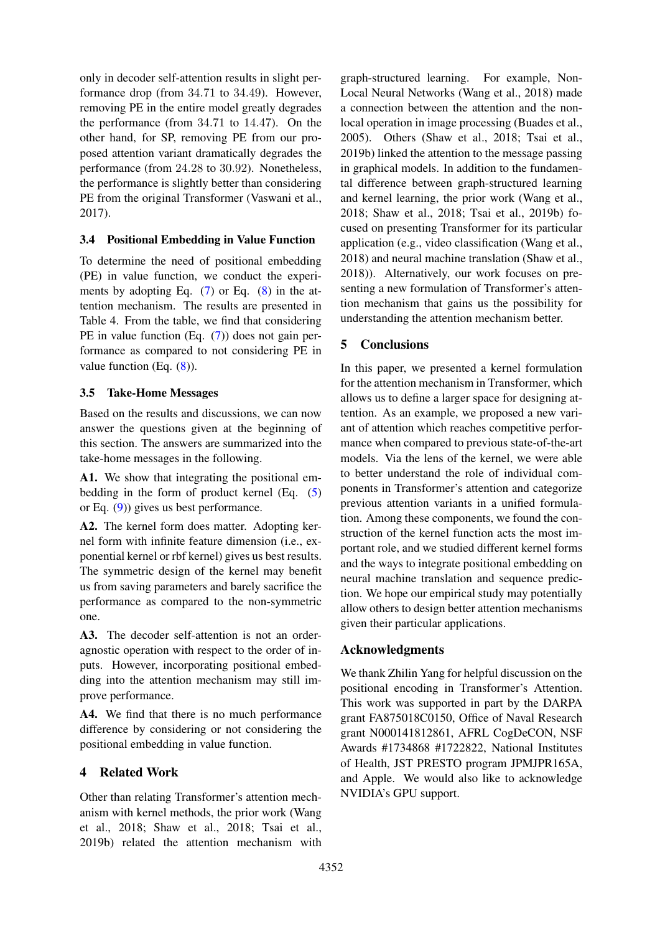only in decoder self-attention results in slight performance drop (from 34.71 to 34.49). However, removing PE in the entire model greatly degrades the performance (from 34.71 to 14.47). On the other hand, for SP, removing PE from our proposed attention variant dramatically degrades the performance (from 24.28 to 30.92). Nonetheless, the performance is slightly better than considering PE from the original Transformer (Vaswani et al., 2017).

## 3.4 Positional Embedding in Value Function

To determine the need of positional embedding (PE) in value function, we conduct the experiments by adopting Eq.  $(7)$  or Eq.  $(8)$  in the attention mechanism. The results are presented in Table 4. From the table, we find that considering PE in value function (Eq. (7)) does not gain performance as compared to not considering PE in value function (Eq. (8)).

# 3.5 Take-Home Messages

Based on the results and discussions, we can now answer the questions given at the beginning of this section. The answers are summarized into the take-home messages in the following.

A1. We show that integrating the positional embedding in the form of product kernel (Eq. (5) or Eq. (9)) gives us best performance.

A2. The kernel form does matter. Adopting kernel form with infinite feature dimension (i.e., exponential kernel or rbf kernel) gives us best results. The symmetric design of the kernel may benefit us from saving parameters and barely sacrifice the performance as compared to the non-symmetric one.

A3. The decoder self-attention is not an orderagnostic operation with respect to the order of inputs. However, incorporating positional embedding into the attention mechanism may still improve performance.

A4. We find that there is no much performance difference by considering or not considering the positional embedding in value function.

# 4 Related Work

Other than relating Transformer's attention mechanism with kernel methods, the prior work (Wang et al., 2018; Shaw et al., 2018; Tsai et al., 2019b) related the attention mechanism with graph-structured learning. For example, Non-Local Neural Networks (Wang et al., 2018) made a connection between the attention and the nonlocal operation in image processing (Buades et al., 2005). Others (Shaw et al., 2018; Tsai et al., 2019b) linked the attention to the message passing in graphical models. In addition to the fundamental difference between graph-structured learning and kernel learning, the prior work (Wang et al., 2018; Shaw et al., 2018; Tsai et al., 2019b) focused on presenting Transformer for its particular application (e.g., video classification (Wang et al., 2018) and neural machine translation (Shaw et al., 2018)). Alternatively, our work focuses on presenting a new formulation of Transformer's attention mechanism that gains us the possibility for understanding the attention mechanism better.

# 5 Conclusions

In this paper, we presented a kernel formulation for the attention mechanism in Transformer, which allows us to define a larger space for designing attention. As an example, we proposed a new variant of attention which reaches competitive performance when compared to previous state-of-the-art models. Via the lens of the kernel, we were able to better understand the role of individual components in Transformer's attention and categorize previous attention variants in a unified formulation. Among these components, we found the construction of the kernel function acts the most important role, and we studied different kernel forms and the ways to integrate positional embedding on neural machine translation and sequence prediction. We hope our empirical study may potentially allow others to design better attention mechanisms given their particular applications.

# Acknowledgments

We thank Zhilin Yang for helpful discussion on the positional encoding in Transformer's Attention. This work was supported in part by the DARPA grant FA875018C0150, Office of Naval Research grant N000141812861, AFRL CogDeCON, NSF Awards #1734868 #1722822, National Institutes of Health, JST PRESTO program JPMJPR165A, and Apple. We would also like to acknowledge NVIDIA's GPU support.